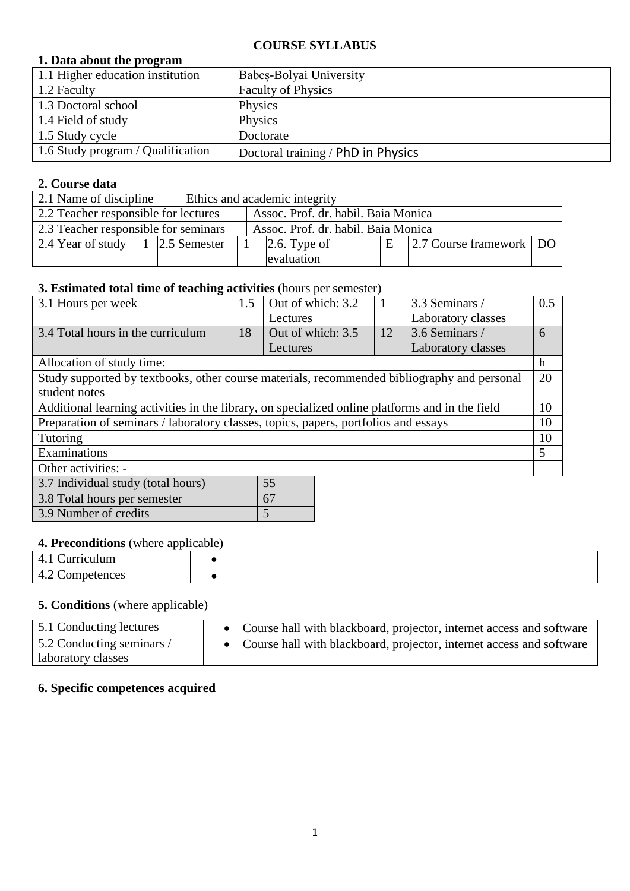#### **COURSE SYLLABUS**

## **1. Data about the program**

| 1.1 Higher education institution  | Babes-Bolyai University            |
|-----------------------------------|------------------------------------|
| 1.2 Faculty                       | <b>Faculty of Physics</b>          |
| 1.3 Doctoral school               | Physics                            |
| 1.4 Field of study                | Physics                            |
| 1.5 Study cycle                   | Doctorate                          |
| 1.6 Study program / Qualification | Doctoral training / PhD in Physics |

## **2. Course data**

| 2.1 Name of discipline               |  |  | Ethics and academic integrity       |                                     |  |                           |  |
|--------------------------------------|--|--|-------------------------------------|-------------------------------------|--|---------------------------|--|
| 2.2 Teacher responsible for lectures |  |  | Assoc. Prof. dr. habil. Baia Monica |                                     |  |                           |  |
| 2.3 Teacher responsible for seminars |  |  |                                     | Assoc. Prof. dr. habil. Baia Monica |  |                           |  |
| 2.4 Year of study   1   2.5 Semester |  |  | $\vert 2.6.$ Type of                |                                     |  | 2.7 Course framework   DO |  |
|                                      |  |  |                                     | evaluation                          |  |                           |  |

# **3. Estimated total time of teaching activities** (hours per semester)

| 3.1 Hours per week                                                                              | 1.5 | Out of which: 3.2 |    | 3.3 Seminars /     | 0.5 |  |
|-------------------------------------------------------------------------------------------------|-----|-------------------|----|--------------------|-----|--|
|                                                                                                 |     | Lectures          |    | Laboratory classes |     |  |
| 3.4 Total hours in the curriculum                                                               | 18  | Out of which: 3.5 | 12 | 3.6 Seminars /     | 6   |  |
|                                                                                                 |     | Lectures          |    | Laboratory classes |     |  |
| Allocation of study time:                                                                       |     |                   |    |                    | h   |  |
| Study supported by textbooks, other course materials, recommended bibliography and personal     |     |                   |    |                    | 20  |  |
| student notes                                                                                   |     |                   |    |                    |     |  |
| Additional learning activities in the library, on specialized online platforms and in the field |     |                   |    |                    |     |  |
| Preparation of seminars / laboratory classes, topics, papers, portfolios and essays             |     |                   |    |                    | 10  |  |
| Tutoring                                                                                        |     |                   |    |                    |     |  |
| Examinations                                                                                    |     |                   |    |                    | 5   |  |
| Other activities: -                                                                             |     |                   |    |                    |     |  |
| 55<br>3.7 Individual study (total hours)                                                        |     |                   |    |                    |     |  |
|                                                                                                 |     |                   |    |                    |     |  |

| 3.8 Total hours per semester |  |
|------------------------------|--|
| 3.9 Number of credits        |  |
|                              |  |

## **4. Preconditions** (where applicable)

| urnculum<br>4.1 |  |
|-----------------|--|
| 4.2<br>petences |  |

## **5. Conditions** (where applicable)

| 5.1 Conducting lectures   | • Course hall with blackboard, projector, internet access and software |
|---------------------------|------------------------------------------------------------------------|
| 5.2 Conducting seminars / | • Course hall with blackboard, projector, internet access and software |
| laboratory classes        |                                                                        |

#### **6. Specific competences acquired**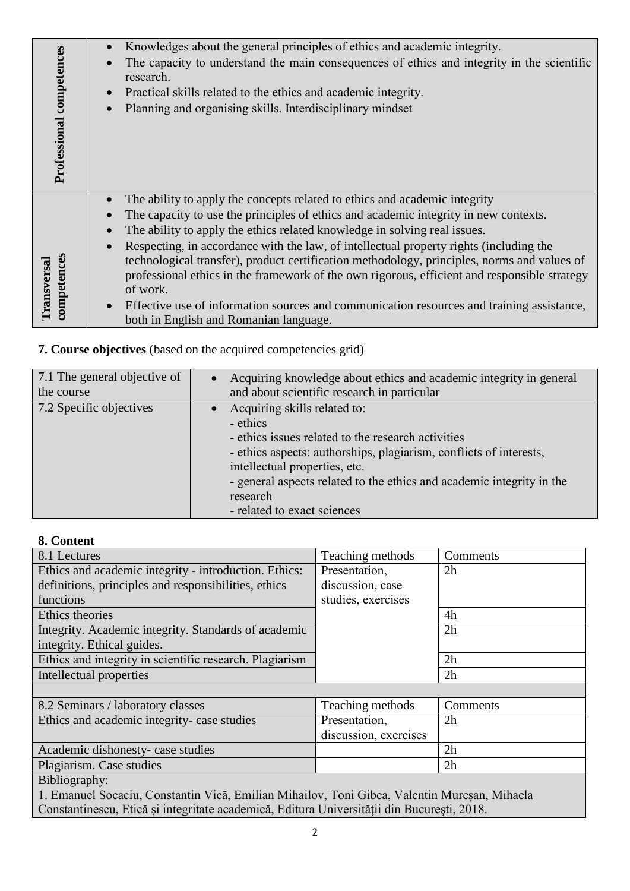| Professional competences   | Knowledges about the general principles of ethics and academic integrity.<br>The capacity to understand the main consequences of ethics and integrity in the scientific<br>research.<br>Practical skills related to the ethics and academic integrity.<br>Planning and organising skills. Interdisciplinary mindset |
|----------------------------|---------------------------------------------------------------------------------------------------------------------------------------------------------------------------------------------------------------------------------------------------------------------------------------------------------------------|
|                            | The ability to apply the concepts related to ethics and academic integrity<br>The capacity to use the principles of ethics and academic integrity in new contexts.                                                                                                                                                  |
|                            | The ability to apply the ethics related knowledge in solving real issues.                                                                                                                                                                                                                                           |
|                            | Respecting, in accordance with the law, of intellectual property rights (including the                                                                                                                                                                                                                              |
| competences<br>Transversal | technological transfer), product certification methodology, principles, norms and values of<br>professional ethics in the framework of the own rigorous, efficient and responsible strategy                                                                                                                         |
|                            | of work.                                                                                                                                                                                                                                                                                                            |
|                            | Effective use of information sources and communication resources and training assistance,                                                                                                                                                                                                                           |
|                            | both in English and Romanian language.                                                                                                                                                                                                                                                                              |

# **7. Course objectives** (based on the acquired competencies grid)

| 7.1 The general objective of<br>the course | Acquiring knowledge about ethics and academic integrity in general<br>and about scientific research in particular                                                                                                                                                                                                         |
|--------------------------------------------|---------------------------------------------------------------------------------------------------------------------------------------------------------------------------------------------------------------------------------------------------------------------------------------------------------------------------|
| 7.2 Specific objectives                    | Acquiring skills related to:<br>- ethics<br>- ethics issues related to the research activities<br>- ethics aspects: authorships, plagiarism, conflicts of interests,<br>intellectual properties, etc.<br>- general aspects related to the ethics and academic integrity in the<br>research<br>- related to exact sciences |
|                                            |                                                                                                                                                                                                                                                                                                                           |

# **8. Content**

| 8.1 Lectures                                                                                 | Teaching methods      | Comments |  |  |  |
|----------------------------------------------------------------------------------------------|-----------------------|----------|--|--|--|
| Ethics and academic integrity - introduction. Ethics:                                        | Presentation,         | 2h       |  |  |  |
| definitions, principles and responsibilities, ethics                                         | discussion, case      |          |  |  |  |
| functions                                                                                    | studies, exercises    |          |  |  |  |
| Ethics theories                                                                              |                       | 4h       |  |  |  |
| Integrity. Academic integrity. Standards of academic                                         |                       | 2h       |  |  |  |
| integrity. Ethical guides.                                                                   |                       |          |  |  |  |
| Ethics and integrity in scientific research. Plagiarism                                      |                       | 2h       |  |  |  |
| Intellectual properties                                                                      |                       | 2h       |  |  |  |
|                                                                                              |                       |          |  |  |  |
| 8.2 Seminars / laboratory classes                                                            | Teaching methods      | Comments |  |  |  |
| Ethics and academic integrity- case studies                                                  | Presentation,         | 2h       |  |  |  |
|                                                                                              | discussion, exercises |          |  |  |  |
| Academic dishonesty- case studies                                                            |                       | 2h       |  |  |  |
| Plagiarism. Case studies                                                                     |                       | 2h       |  |  |  |
| Bibliography:                                                                                |                       |          |  |  |  |
| 1. Emanuel Socaciu, Constantin Vică, Emilian Mihailov, Toni Gibea, Valentin Mureșan, Mihaela |                       |          |  |  |  |

Constantinescu, Etică și integritate academică, Editura Universităţii din Bucureşti, 2018.